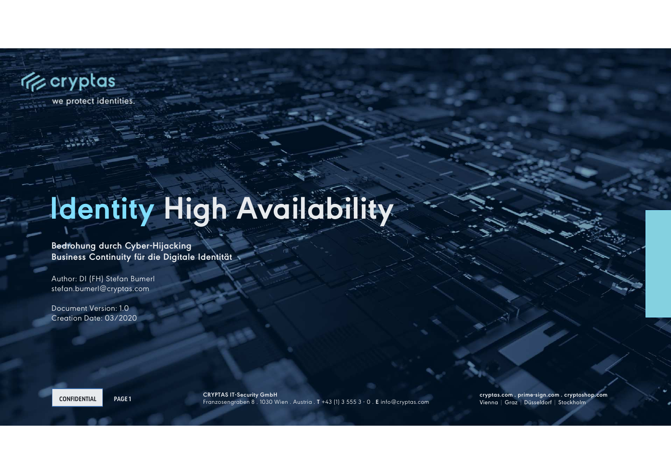

# **Identity High Availability**

**Bedrohung durch Cyber-HijackingBusiness Continuity für die Digitale Identität** 

Author: DI (FH) Stefan Bumerl stefan.bumerl@cryptas.com

Document Version: 1.0Creation Date: 03/2020

**CONFIDENTIAL**

**PAGE 1 CRYPTAS IT-Security GmbH** Franzosengraben 8 . 1030 Wien . Austria . **<sup>T</sup>** +43 (1) 3 555 3 - 0 . **<sup>E</sup>** info@cryptas.com

**cryptas.com . prime-sign.com . cryptoshop.com**<br>Vienna | Graz | Düsseldorf | Stockholm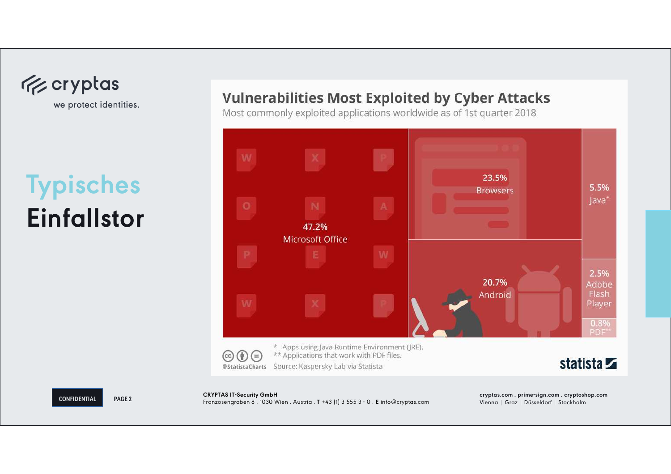

## **TypischesEinfallstor**

**CONFIDENTIAL**

### **Vulnerabilities Most Exploited by Cyber Attacks**

Most commonly exploited applications worldwide as of 1st quarter 2018



**PAGE 2**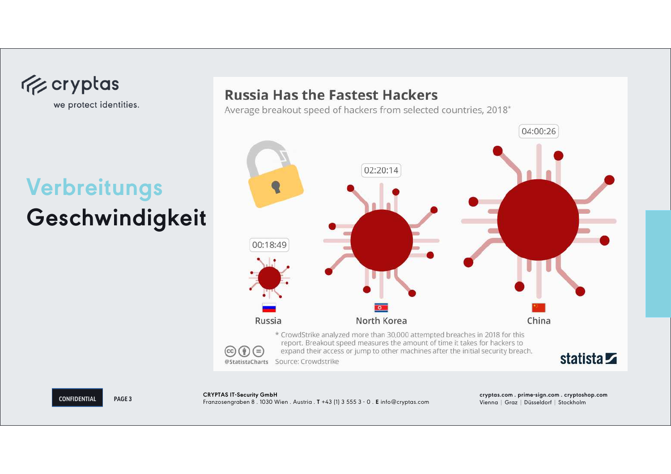

## **VerbreitungsGeschwindigkeit**

### **Russia Has the Fastest Hackers**

Average breakout speed of hackers from selected countries, 2018\*



**CONFIDENTIAL**

**PAGE 3**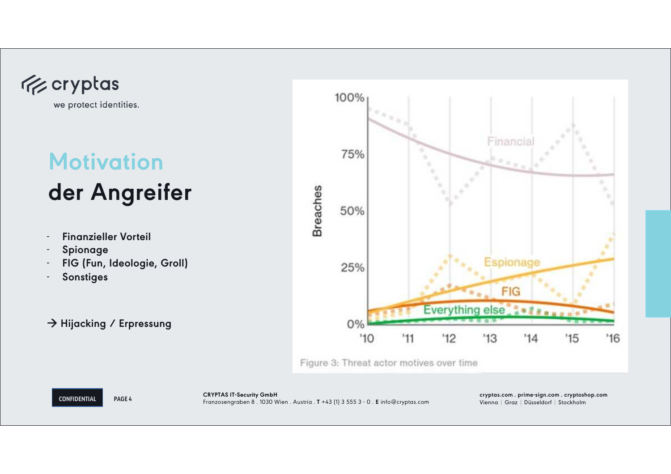

## **Motivation der Angreifer**

- -**Finanzieller Vorteil**
- -**Spionage**
- **FIG (Fun, Ideologie, Groll)**-
- -**Sonstiges**

### **Hijacking / Erpressung**

**PAGE 4**



Figure 3: Threat actor motives over time

**CONFIDENTIAL**

**cryptas.com . prime-sign.com . cryptoshop.com** Vienna | Graz | Düsseldorf | Stockholm **CRYPTAS IT-Security GmbH** Franzosengraben 8 . 1030 Wien . Austria . **<sup>T</sup>** +43 (1) 3 555 3 - 0 . **<sup>E</sup>** info@cryptas.com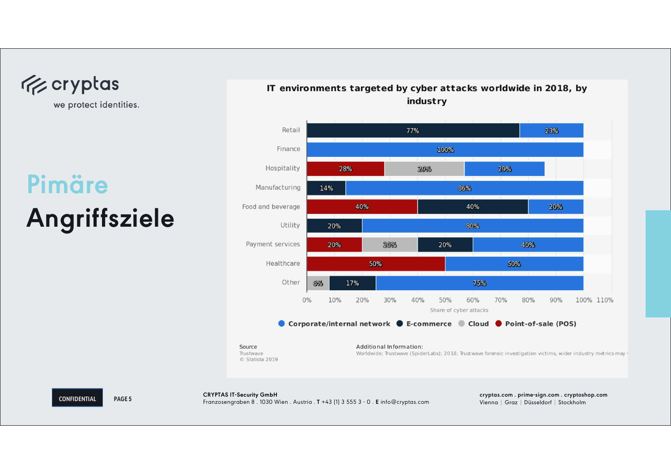

## **PimäreAngriffsziele**

**CONFIDENTIAL**

**PAGE 5**

### IT environments targeted by cyber attacks worldwide in 2018, by industry

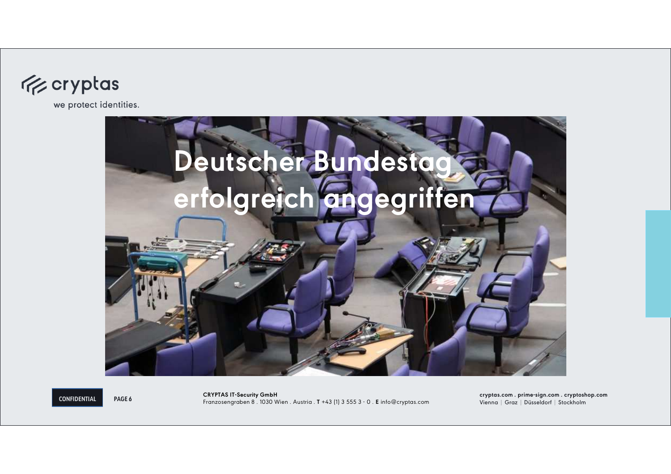



**CONFIDENTIAL**

**PAGE 6**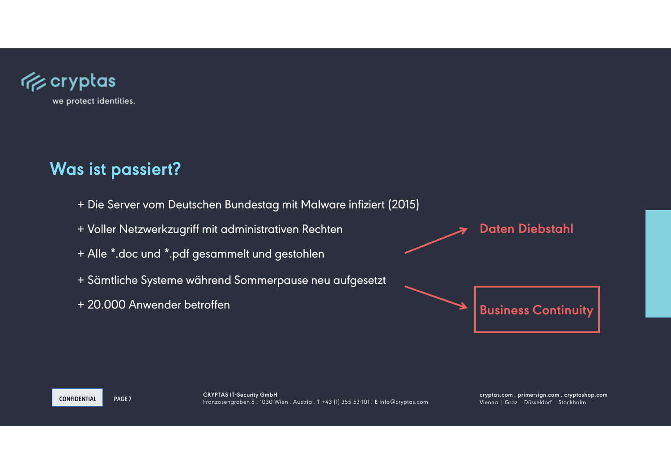

### **Was ist passiert?**

- + Die Server vom Deutschen Bundestag mit Malware infiziert (2015)
- + Voller Netzwerkzugriff mit administrativen Rechten
- + Alle \*.doc und \*.pdf gesammelt und gestohlen
- + Sämtliche Systeme während Sommerpause neu aufgesetzt
- + 20.000 Anwender betroffen

**Daten Diebstahl**

**Business Continuity**

**CONFIDENTIAL**

**PAGE 7**

**cryptas.com . prime-sign.com . cryptoshop.com** Vienna | Graz | Düsseldorf | Stockholm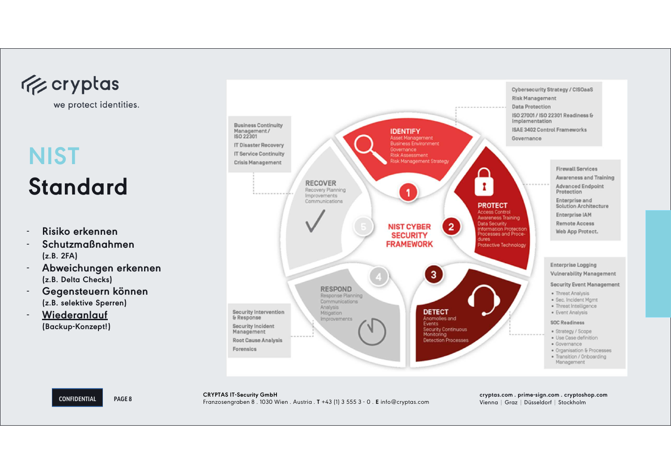

## **NIST Standard**

- **Risiko erkennen**
- **Schutzmaßnahmen (z.B. 2FA)**
- **Abweichungen erkennen (z.B. Delta Checks)**
- **Gegensteuern können(z.B. selektive Sperren)**
- **Wiederanlauf(Backup-Konzept!)**



CRYPTAS IT-Security GmbH<br>Franzosengraben 8 . 1030 Wien . Austria . T +43 (1) 3 555 3 - 0 . E info@cryptas.com Vienna | Graz | Düsseldorf | Stockholm

**CONFIDENTIAL**

**PAGE 8**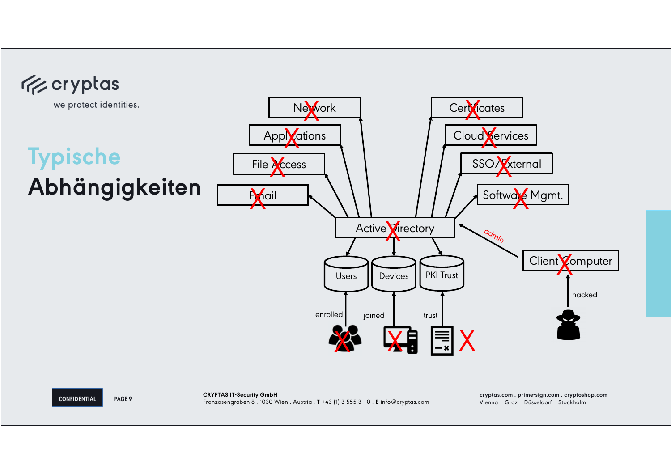

**CONFIDENTIAL**

**PAGE 9**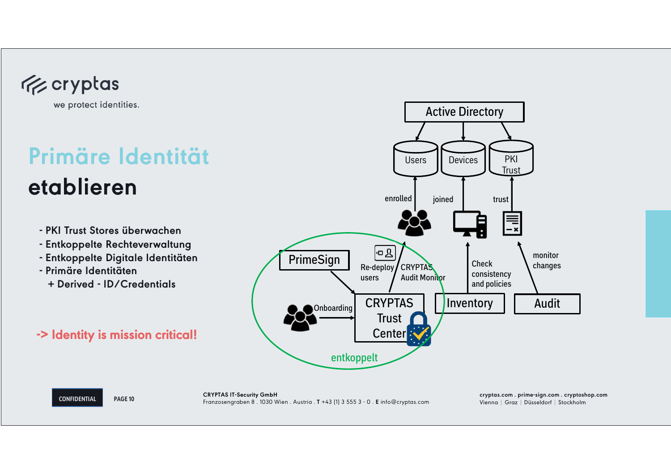

## **Primäre Identität etablieren**

- **- PKI Trust Stores überwachen**
- **- Entkoppelte Rechteverwaltung**
- **- Entkoppelte Digitale Identitäten**
- **- Primäre Identitäten**
- **+ Derived - ID/Credentials**

### **-> Identity is mission critical!**

**PAGE 10**



#### **CONFIDENTIAL**

**cryptas.com . prime-sign.com . cryptoshop.com** Vienna | Graz | Düsseldorf | Stockholm **CRYPTAS IT-Security GmbH** Franzosengraben 8 . 1030 Wien . Austria . **<sup>T</sup>** +43 (1) 3 555 3 - 0 . **<sup>E</sup>** info@cryptas.com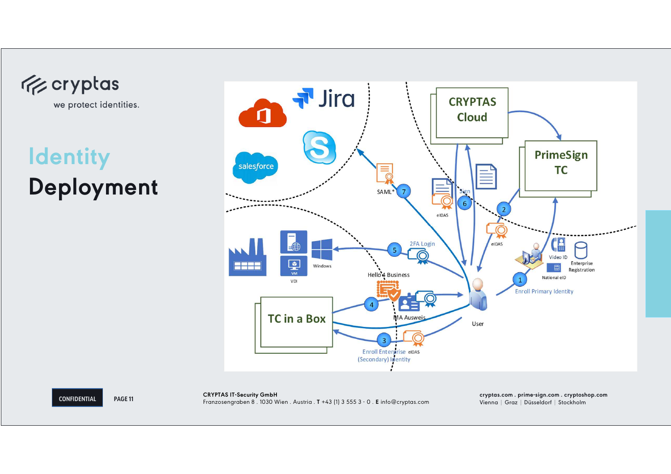**Exeryptas** 

we protect identities.

**Identity Deployment**



**CONFIDENTIAL**

**PAGE 11 cryptas.com . prime-sign.com . cryptoshop.com** Vienna | Graz | Düsseldorf | Stockholm **CRYPTAS IT-Security GmbH** Franzosengraben 8 . 1030 Wien . Austria . **<sup>T</sup>** +43 (1) 3 555 3 - 0 . **<sup>E</sup>** info@cryptas.com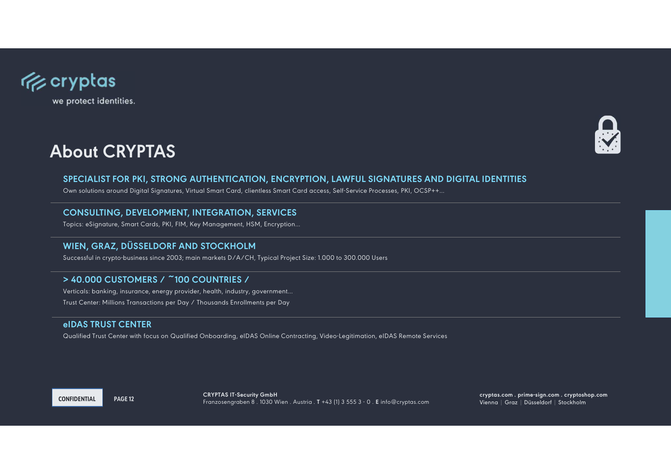

### **About CRYPTAS**



### **SPECIALIST FOR PKI, STRONG AUTHENTICATION, ENCRYPTION, LAWFUL SIGNATURES AND DIGITAL IDENTITIES**

Own solutions around Digital Signatures, Virtual Smart Card, clientless Smart Card access, Self-Service Processes, PKI, OCSP++…

### **CONSULTING, DEVELOPMENT, INTEGRATION, SERVICES**

Topics: eSignature, Smart Cards, PKI, FIM, Key Management, HSM, Encryption…

### **WIEN, GRAZ, DÜSSELDORF AND STOCKHOLM**

Successful in crypto-business since 2003; main markets D/A/CH, Typical Project Size: 1.000 to 300.000 Users

### **> 40.000 CUSTOMERS / ~100 COUNTRIES /**

Verticals: banking, insurance, energy provider, health, industry, government…Trust Center: Millions Transactions per Day / Thousands Enrollments per Day

#### **eIDAS TRUST CENTER**

Qualified Trust Center with focus on Qualified Onboarding, eIDAS Online Contracting, Video-Legitimation, eIDAS Remote Services

**CONFIDENTIAL**

 **cryptas.com . prime-sign.com . cryptoshop.com** Vienna | Graz | Düsseldorf | Stockholm Franzosengraben 8 . 1030 Wien . Austria . **T** +43 (1) 3 555 3 - 0 . **<sup>E</sup>** info@cryptas.com **PAGE 12CRYPTAS IT-Security GmbH**